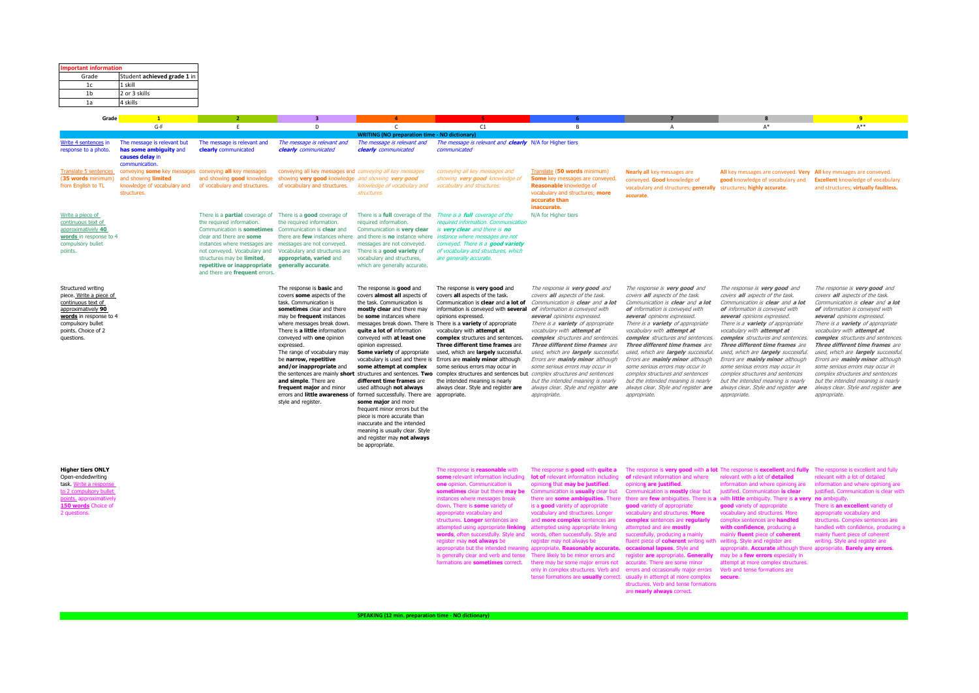| <b>Important information</b><br>Grade                                                                                                                                         | Student achieved grade 1 in                                                                                                                       |                                                                                                                                                                                                                                                                                                                                                                                                                                        |                                                                                                                                                                                                                                                                                                                                                                                                                              |                                                                                                                                                                                                                                                                                                                                                                                                                                                                                                                                                                                                                                               |                                                                                                                                                                                                                                                                                                                                                                                                                                                                                                                                                                                                                                                                                                                                                |                                                                                                                                                                                                                                                                                                                                                                                                                                                                                                                                       |                                                                                                                                                                                                                                                                                                                                                                                                                                                                                                                                                                                                                                                                                                 |                                                                                                                                                                                                                                                                                                                                                                                                                                                                                                                                                                                                                   |                                                                                                                                                                                                                                                                                                                                                                                                                                                                                                                                                                           |
|-------------------------------------------------------------------------------------------------------------------------------------------------------------------------------|---------------------------------------------------------------------------------------------------------------------------------------------------|----------------------------------------------------------------------------------------------------------------------------------------------------------------------------------------------------------------------------------------------------------------------------------------------------------------------------------------------------------------------------------------------------------------------------------------|------------------------------------------------------------------------------------------------------------------------------------------------------------------------------------------------------------------------------------------------------------------------------------------------------------------------------------------------------------------------------------------------------------------------------|-----------------------------------------------------------------------------------------------------------------------------------------------------------------------------------------------------------------------------------------------------------------------------------------------------------------------------------------------------------------------------------------------------------------------------------------------------------------------------------------------------------------------------------------------------------------------------------------------------------------------------------------------|------------------------------------------------------------------------------------------------------------------------------------------------------------------------------------------------------------------------------------------------------------------------------------------------------------------------------------------------------------------------------------------------------------------------------------------------------------------------------------------------------------------------------------------------------------------------------------------------------------------------------------------------------------------------------------------------------------------------------------------------|---------------------------------------------------------------------------------------------------------------------------------------------------------------------------------------------------------------------------------------------------------------------------------------------------------------------------------------------------------------------------------------------------------------------------------------------------------------------------------------------------------------------------------------|-------------------------------------------------------------------------------------------------------------------------------------------------------------------------------------------------------------------------------------------------------------------------------------------------------------------------------------------------------------------------------------------------------------------------------------------------------------------------------------------------------------------------------------------------------------------------------------------------------------------------------------------------------------------------------------------------|-------------------------------------------------------------------------------------------------------------------------------------------------------------------------------------------------------------------------------------------------------------------------------------------------------------------------------------------------------------------------------------------------------------------------------------------------------------------------------------------------------------------------------------------------------------------------------------------------------------------|---------------------------------------------------------------------------------------------------------------------------------------------------------------------------------------------------------------------------------------------------------------------------------------------------------------------------------------------------------------------------------------------------------------------------------------------------------------------------------------------------------------------------------------------------------------------------|
| 1c                                                                                                                                                                            | 1 skill                                                                                                                                           |                                                                                                                                                                                                                                                                                                                                                                                                                                        |                                                                                                                                                                                                                                                                                                                                                                                                                              |                                                                                                                                                                                                                                                                                                                                                                                                                                                                                                                                                                                                                                               |                                                                                                                                                                                                                                                                                                                                                                                                                                                                                                                                                                                                                                                                                                                                                |                                                                                                                                                                                                                                                                                                                                                                                                                                                                                                                                       |                                                                                                                                                                                                                                                                                                                                                                                                                                                                                                                                                                                                                                                                                                 |                                                                                                                                                                                                                                                                                                                                                                                                                                                                                                                                                                                                                   |                                                                                                                                                                                                                                                                                                                                                                                                                                                                                                                                                                           |
| 1 <sub>b</sub><br>1a                                                                                                                                                          | 2 or 3 skills<br>4 skills                                                                                                                         |                                                                                                                                                                                                                                                                                                                                                                                                                                        |                                                                                                                                                                                                                                                                                                                                                                                                                              |                                                                                                                                                                                                                                                                                                                                                                                                                                                                                                                                                                                                                                               |                                                                                                                                                                                                                                                                                                                                                                                                                                                                                                                                                                                                                                                                                                                                                |                                                                                                                                                                                                                                                                                                                                                                                                                                                                                                                                       |                                                                                                                                                                                                                                                                                                                                                                                                                                                                                                                                                                                                                                                                                                 |                                                                                                                                                                                                                                                                                                                                                                                                                                                                                                                                                                                                                   |                                                                                                                                                                                                                                                                                                                                                                                                                                                                                                                                                                           |
| Grade                                                                                                                                                                         | $\mathbf{1}$                                                                                                                                      |                                                                                                                                                                                                                                                                                                                                                                                                                                        | $\overline{\mathbf{3}}$                                                                                                                                                                                                                                                                                                                                                                                                      |                                                                                                                                                                                                                                                                                                                                                                                                                                                                                                                                                                                                                                               |                                                                                                                                                                                                                                                                                                                                                                                                                                                                                                                                                                                                                                                                                                                                                |                                                                                                                                                                                                                                                                                                                                                                                                                                                                                                                                       |                                                                                                                                                                                                                                                                                                                                                                                                                                                                                                                                                                                                                                                                                                 |                                                                                                                                                                                                                                                                                                                                                                                                                                                                                                                                                                                                                   | $\overline{9}$                                                                                                                                                                                                                                                                                                                                                                                                                                                                                                                                                            |
|                                                                                                                                                                               | $G-F$                                                                                                                                             | E                                                                                                                                                                                                                                                                                                                                                                                                                                      | D                                                                                                                                                                                                                                                                                                                                                                                                                            | $\mathsf{C}$<br><b>WRITING (NO preparation time - NO dictionary)</b>                                                                                                                                                                                                                                                                                                                                                                                                                                                                                                                                                                          | C1                                                                                                                                                                                                                                                                                                                                                                                                                                                                                                                                                                                                                                                                                                                                             | $\overline{B}$                                                                                                                                                                                                                                                                                                                                                                                                                                                                                                                        | $\overline{A}$                                                                                                                                                                                                                                                                                                                                                                                                                                                                                                                                                                                                                                                                                  | $A^*$                                                                                                                                                                                                                                                                                                                                                                                                                                                                                                                                                                                                             | $A***$                                                                                                                                                                                                                                                                                                                                                                                                                                                                                                                                                                    |
| Write 4 sentences in<br>response to a photo.                                                                                                                                  | The message is relevant but<br>has some ambiguity and<br>causes delay in<br>communication                                                         | The message is relevant and<br>clearly communicated                                                                                                                                                                                                                                                                                                                                                                                    | The message is relevant and<br>clearly communicated                                                                                                                                                                                                                                                                                                                                                                          | The message is relevant and<br>clearly communicated                                                                                                                                                                                                                                                                                                                                                                                                                                                                                                                                                                                           | The message is relevant and clearly N/A for Higher tiers<br>communicated                                                                                                                                                                                                                                                                                                                                                                                                                                                                                                                                                                                                                                                                       |                                                                                                                                                                                                                                                                                                                                                                                                                                                                                                                                       |                                                                                                                                                                                                                                                                                                                                                                                                                                                                                                                                                                                                                                                                                                 |                                                                                                                                                                                                                                                                                                                                                                                                                                                                                                                                                                                                                   |                                                                                                                                                                                                                                                                                                                                                                                                                                                                                                                                                                           |
| (35 words minimum)<br>from English to TL                                                                                                                                      | Translate 5 sentences conveying some key messages conveying all key messages<br>and showing limited<br>knowledge of vocabulary and<br>structures. |                                                                                                                                                                                                                                                                                                                                                                                                                                        | conveying all key messages and conveying all key messages<br>and showing good knowledge showing very good knowledge and showing very good                                                                                                                                                                                                                                                                                    | of vocabulary and structures. of vocabulary and structures. Knowledge of vocabulary and<br>structures.                                                                                                                                                                                                                                                                                                                                                                                                                                                                                                                                        | conveying all key messages and<br>showing very good knowledge of<br>vocabulary and structures.                                                                                                                                                                                                                                                                                                                                                                                                                                                                                                                                                                                                                                                 | Translate (50 words minimum)<br>Some key messages are conveyed.<br><b>Reasonable knowledge of</b><br>vocabulary and structures; more<br>accurate than<br>inaccurate.                                                                                                                                                                                                                                                                                                                                                                  | Nearly all key messages are<br>conveyed. Good knowledge of<br>vocabulary and structures; generally structures; highly accurate.<br>accurate                                                                                                                                                                                                                                                                                                                                                                                                                                                                                                                                                     | All key messages are conveyed. Very All key messages are conveyed.<br>good knowledge of vocabulary and                                                                                                                                                                                                                                                                                                                                                                                                                                                                                                            | <b>Excellent knowledge of vocabulary</b><br>and structures; virtually faultless.                                                                                                                                                                                                                                                                                                                                                                                                                                                                                          |
| Write a piece of<br>continuous text of<br>approximatively 40<br>words in response to 4<br>compulsory bullet<br>points.                                                        |                                                                                                                                                   | There is a <b>partial</b> coverage of There is a <b>good</b> coverage of<br>the required information.<br>Communication is sometimes Communication is clear and<br>clear and there are some<br>instances where messages are messages are not conveyed.<br>not conveyed. Vocabulary and Vocabulary and structures are<br>structures may be limited,<br>repetitive or inappropriate generally accurate.<br>and there are frequent errors. | the required information.<br>appropriate, varied and                                                                                                                                                                                                                                                                                                                                                                         | required information.<br>Communication is very clear<br>messages are not conveyed.<br>There is a good variety of<br>vocabulary and structures,<br>which are generally accurate.                                                                                                                                                                                                                                                                                                                                                                                                                                                               | There is a full coverage of the There is a full coverage of the<br>required information. Communication<br>is very clear and there is no<br>there are few instances where and there is no instance where <i>instance where messages are not</i><br>conveyed. There is a good variety<br>of vocabulary and structures, which<br>are generally accurate.                                                                                                                                                                                                                                                                                                                                                                                          | N/A for Higher tiers                                                                                                                                                                                                                                                                                                                                                                                                                                                                                                                  |                                                                                                                                                                                                                                                                                                                                                                                                                                                                                                                                                                                                                                                                                                 |                                                                                                                                                                                                                                                                                                                                                                                                                                                                                                                                                                                                                   |                                                                                                                                                                                                                                                                                                                                                                                                                                                                                                                                                                           |
| Structured writing<br>piece. Write a piece of<br>continuous text of<br>approximatively 90<br>words in response to 4<br>compulsory bullet<br>points. Choice of 2<br>questions. |                                                                                                                                                   |                                                                                                                                                                                                                                                                                                                                                                                                                                        | The response is <b>basic</b> and<br>covers some aspects of the<br>task. Communication is<br>sometimes clear and there<br>may be frequent instances<br>where messages break down.<br>There is a little information<br>conveyed with one opinion<br>expressed.<br>The range of vocabulary may<br>be narrow, repetitive<br>and/or inappropriate and<br>and simple. There are<br>frequent major and minor<br>style and register. | The response is good and<br>covers almost all aspects of<br>the task. Communication is<br>mostly clear and there may<br>be some instances where<br>quite a lot of information<br>conveyed with at least one<br>opinion expressed.<br>Some variety of appropriate<br>some attempt at complex<br>different time frames are<br>used although not always<br>errors and little awareness of formed successfully. There are appropriate.<br>some major and more<br>frequent minor errors but the<br>piece is more accurate than<br>inaccurate and the intended<br>meaning is usually clear. Style<br>and register may not always<br>be appropriate. | The response is very good and<br>covers all aspects of the task.<br>Communication is clear and a lot of<br>information is conveyed with several of information is conveyed with<br>opinions expressed.<br>messages break down. There is There is a variety of appropriate<br>vocabulary with attempt at<br>complex structures and sentences.<br>Three different time frames are<br>used, which are largely successful.<br>vocabulary is used and there is Errors are mainly minor although<br>some serious errors may occur in<br>the sentences are mainly short structures and sentences. Two complex structures and sentences but complex structures and sentences<br>the intended meaning is nearly<br>always clear. Style and register are | The response is very good and<br>covers all aspects of the task.<br>Communication is clear and a lot<br>several opinions expressed.<br>There is a <b>variety</b> of appropriate<br>vocabulary with attempt at<br>complex structures and sentences.<br>Three different time frames are<br>used, which are largely successful.<br>Errors are mainly minor although<br>some serious errors may occur in<br>but the intended meaning is nearly<br>always clear. Style and register are<br>appropriate.                                    | The response is very good and<br>covers all aspects of the task.<br>Communication is clear and a lot<br>of information is conveyed with<br>several opinions expressed.<br>There is a <b>variety</b> of appropriate<br>vocabulary with attempt at<br>complex structures and sentences.<br>Three different time frames are<br>used, which are largely successful.<br>Errors are mainly minor although<br>some serious errors may occur in<br>complex structures and sentences<br>but the intended meaning is nearly<br>always clear. Style and register are<br>appropriate.                                                                                                                       | The response is very good and<br>covers all aspects of the task.<br>Communication is clear and a lot<br>of information is conveyed with<br>several opinions expressed.<br>There is a <b>variety</b> of appropriate<br>vocabulary with attempt at<br>complex structures and sentences.<br>Three different time frames are<br>used, which are largely successful.<br>Errors are mainly minor although<br>some serious errors may occur in<br>complex structures and sentences<br>but the intended meaning is nearly<br>always clear. Style and register are<br>appropriate.                                         | The response is very good and<br>covers all aspects of the task.<br>Communication is clear and a lot<br>of information is conveyed with<br>several opinions expressed.<br>There is a <b>variety</b> of appropriate<br>vocabulary with attempt at<br>complex structures and sentences.<br>Three different time frames are<br>used, which are largely successful.<br>Errors are mainly minor although<br>some serious errors may occur in<br>complex structures and sentences<br>but the intended meaning is nearly<br>always clear. Style and register are<br>appropriate. |
| <b>Higher tiers ONLY</b><br>Open-endedwriting<br>task. Write a response<br>to 2 compulsory bullet<br>points. approximatively<br>150 words Choice of<br>2 questions.           |                                                                                                                                                   |                                                                                                                                                                                                                                                                                                                                                                                                                                        |                                                                                                                                                                                                                                                                                                                                                                                                                              |                                                                                                                                                                                                                                                                                                                                                                                                                                                                                                                                                                                                                                               | The response is reasonable with<br>some relevant information including<br>one opinion. Communication is<br>sometimes clear but there may be<br>instances where messages break<br>down. There is some variety of<br>appropriate vocabulary and<br>structures. Longer sentences are<br>attempted using appropriate linking<br>words, often successfully. Style and<br>register may not always be<br>appropriate but the intended meaning appropriate. Reasonably accurate.<br>is generally clear and verb and tense<br>formations are sometimes correct.                                                                                                                                                                                         | The response is good with quite a<br>lot of relevant information including<br>opinions that may be justified.<br>Communication is usually clear but<br>there are some ambiguities. There<br>is a good variety of appropriate<br>vocabulary and structures. Longer<br>and more complex sentences are<br>attempted using appropriate linking<br>words, often successfully. Style and<br>register may not always be<br>There likely to be minor errors and<br>there may be some major errors not<br>only in complex structures. Verb and | The response is very good with a lot The response is excellent and fully<br>of relevant information and where<br>opinions are justified.<br>Communication is mostly clear but<br>aood variety of appropriate<br>vocabulary and structures. More<br>complex sentences are regularly<br>attempted and are mostly<br>successfully, producing a mainly<br>fluent piece of coherent writing with<br>occasional lapses. Style and<br>register are appropriate. Generally<br>accurate. There are some minor<br>errors and occasionally major errors<br>tense formations are usually correct. usually in attempt at more complex<br>structures. Verb and tense formations<br>are nearly always correct. | relevant with a lot of detailed<br>information and where opinions are<br>justified. Communication is clear<br>there are few ambiguities. There is a with little ambiguity. There is a very no ambiguity.<br>aood variety of appropriate<br>vocabulary and structures. More<br>complex sentences are handled<br>with confidence, producing a<br>mainly fluent piece of coherent<br>writing. Style and register are<br>appropriate. Accurate although there appropriate. Barely any errors.<br>may be a few errors especially in<br>attempt at more complex structures.<br>Verb and tense formations are<br>secure. | The response is excellent and fully<br>relevant with a lot of detailed<br>information and where opinions are<br>justified. Communication is clear with<br>There is an excellent variety of<br>appropriate vocabulary and<br>structures. Complex sentences are<br>handled with confidence, producing a<br>mainly fluent piece of coherent<br>writing. Style and register are                                                                                                                                                                                               |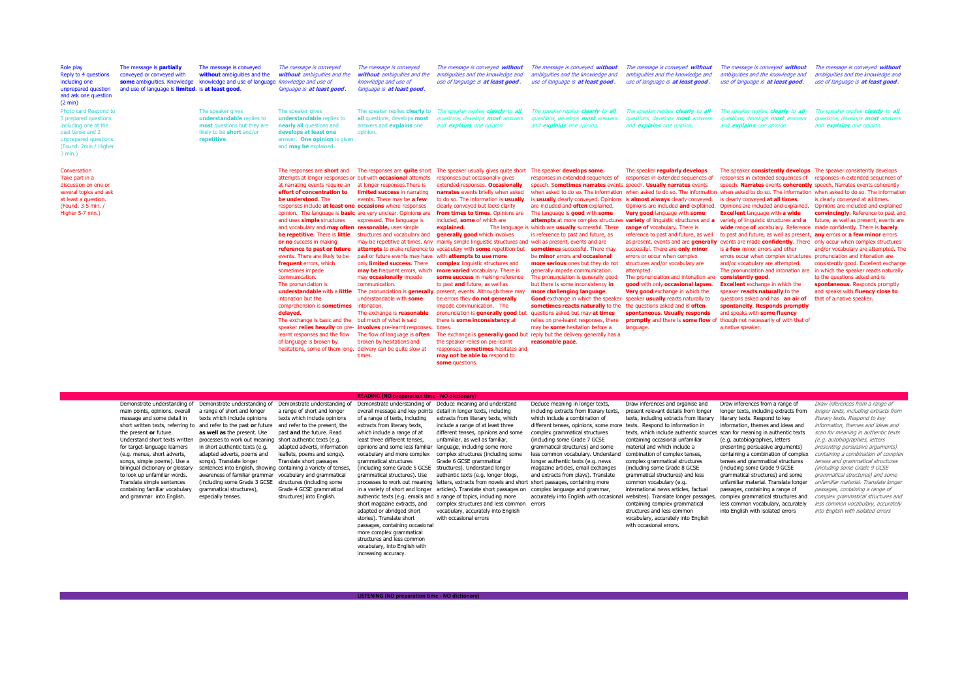| Role play<br>Reply to 4 questions<br>including one<br>unprepared question<br>and ask one question<br>(2 min)                                          | The message is partially<br>conveyed or conveyed with<br>some ambiguities. Knowledge<br>and use of language is limited. is at least good. | The message is conveyed<br>without ambiguities and the<br>knowledge and use of language                                   | The message is conveyed<br>without ambiguities and the<br>knowledge and use of<br>language is at least good                                                                                                                                                                                                                                                                                                                                                                                                                                                                                                                                                                                                                                                                                                                                                                                             | The message is conveyed<br>without ambiguities and the<br>knowledge and use of<br>language is at least good.                                                                                                                                                                                                                                                                                                                                                                                                                                                                                                                     | The message is conveyed without<br>ambiguities and the knowledge and<br>use of language is at least good                                                                                                                                                                                                                                                                                                                                                                                                                                                                                                                                                                                                                                                                                                                                                                                                                                                                                                      | The message is conveyed without<br>ambiquities and the knowledge and<br>use of language is at least good                                                                                                                                                                                                                                                                                                                                                                                                                                                                                                                                                                                                                                                                                                                                                                                                                                                                                                                     | The message is conveyed without<br>ambiquities and the knowledge and<br>use of language is at least good                                                                                                                                                                                                                                                                                                                                                                                                                                                                                                                                                                                                                                           | The message is conveyed without<br>ambiquities and the knowledge and<br>use of language is at least good.                                                                                                                                                                                                                                                                                                                                                                                                                                                                                                                                                                                                                                                                                                                                                                                                                                                                                                     | The message is conveyed without<br>ambiquities and the knowledge and<br>use of language is at least good.                                                                                                                                                                                                                                                                                                                                                                                                                                                                       |
|-------------------------------------------------------------------------------------------------------------------------------------------------------|-------------------------------------------------------------------------------------------------------------------------------------------|---------------------------------------------------------------------------------------------------------------------------|---------------------------------------------------------------------------------------------------------------------------------------------------------------------------------------------------------------------------------------------------------------------------------------------------------------------------------------------------------------------------------------------------------------------------------------------------------------------------------------------------------------------------------------------------------------------------------------------------------------------------------------------------------------------------------------------------------------------------------------------------------------------------------------------------------------------------------------------------------------------------------------------------------|----------------------------------------------------------------------------------------------------------------------------------------------------------------------------------------------------------------------------------------------------------------------------------------------------------------------------------------------------------------------------------------------------------------------------------------------------------------------------------------------------------------------------------------------------------------------------------------------------------------------------------|---------------------------------------------------------------------------------------------------------------------------------------------------------------------------------------------------------------------------------------------------------------------------------------------------------------------------------------------------------------------------------------------------------------------------------------------------------------------------------------------------------------------------------------------------------------------------------------------------------------------------------------------------------------------------------------------------------------------------------------------------------------------------------------------------------------------------------------------------------------------------------------------------------------------------------------------------------------------------------------------------------------|------------------------------------------------------------------------------------------------------------------------------------------------------------------------------------------------------------------------------------------------------------------------------------------------------------------------------------------------------------------------------------------------------------------------------------------------------------------------------------------------------------------------------------------------------------------------------------------------------------------------------------------------------------------------------------------------------------------------------------------------------------------------------------------------------------------------------------------------------------------------------------------------------------------------------------------------------------------------------------------------------------------------------|----------------------------------------------------------------------------------------------------------------------------------------------------------------------------------------------------------------------------------------------------------------------------------------------------------------------------------------------------------------------------------------------------------------------------------------------------------------------------------------------------------------------------------------------------------------------------------------------------------------------------------------------------------------------------------------------------------------------------------------------------|---------------------------------------------------------------------------------------------------------------------------------------------------------------------------------------------------------------------------------------------------------------------------------------------------------------------------------------------------------------------------------------------------------------------------------------------------------------------------------------------------------------------------------------------------------------------------------------------------------------------------------------------------------------------------------------------------------------------------------------------------------------------------------------------------------------------------------------------------------------------------------------------------------------------------------------------------------------------------------------------------------------|---------------------------------------------------------------------------------------------------------------------------------------------------------------------------------------------------------------------------------------------------------------------------------------------------------------------------------------------------------------------------------------------------------------------------------------------------------------------------------------------------------------------------------------------------------------------------------|
| Photo card Respond to<br>3 prepared questions<br>including one at the<br>past tense and 2<br>unprepared questions<br>(Found. 2min / Higher<br>3 min.) |                                                                                                                                           | The speaker gives<br>understandable replies to<br>most questions but they are<br>likely to be short and/or<br>repetitive. | The speaker gives<br>understandable replies to<br>nearly all questions and<br>develops at least one<br>answer. One opinion is given<br>and may be explained                                                                                                                                                                                                                                                                                                                                                                                                                                                                                                                                                                                                                                                                                                                                             | The speaker replies clearly to<br>all questions, develops most<br>answers and explains one<br>opinion.                                                                                                                                                                                                                                                                                                                                                                                                                                                                                                                           | The speaker replies clearly to all<br>questions, develops most answers<br>and explains one opinion.                                                                                                                                                                                                                                                                                                                                                                                                                                                                                                                                                                                                                                                                                                                                                                                                                                                                                                           | The speaker replies clearly to all<br>questions, develops <b>most</b> answers<br>and explains one opinion.                                                                                                                                                                                                                                                                                                                                                                                                                                                                                                                                                                                                                                                                                                                                                                                                                                                                                                                   | The speaker replies clearly to all<br>questions, develops most answers<br>and explains one opinion.                                                                                                                                                                                                                                                                                                                                                                                                                                                                                                                                                                                                                                                | The speaker replies clearly to all<br>questions, develops <b>most</b> answers<br>and explains one opinion.                                                                                                                                                                                                                                                                                                                                                                                                                                                                                                                                                                                                                                                                                                                                                                                                                                                                                                    | The speaker replies clearly to all<br>questions, develops most answers<br>and explains one opinion.                                                                                                                                                                                                                                                                                                                                                                                                                                                                             |
| Conversation<br>Take part in a<br>discussion on one or<br>several topics and ask<br>at least a question.<br>(Found. 3-5 min. /<br>Higher 5-7 min.)    |                                                                                                                                           |                                                                                                                           | The responses are <b>short</b> and<br>attempts at longer responses or but with occasional attempts<br>at narrating events require an<br>effort of concentration to<br>be understood. The<br>responses include at least one occasions where responses<br>opinion. The language is <b>basic</b> are very unclear. Opinions are<br>and uses simple structures<br>and vocabulary and may often reasonable, uses simple<br>be repetitive. There is little<br>or no success in making<br>reference to past or future<br>events. There are likely to be<br>frequent errors, which<br>sometimes impede<br>communication.<br>The pronunciation is<br>understandable with a little<br>intonation but the<br>comprehension is sometimes<br>delayed.<br>The exchange is basic and the<br>learnt responses and the flow<br>of language is broken by<br>hesitations, some of them long, delivery can be quite slow at | The responses are <b>quite</b> short<br>at longer responses. There is<br>limited success in narrating<br>events. There may be a few<br>expressed. The language is<br>structures and vocabulary and<br>past or future events may have with attempts to use more<br>only limited success. There<br>may be frequent errors, which<br>may occasionally impede<br>communication.<br>understandable with some<br>intonation.<br>The exchange is reasonable<br>but much of what is said<br>speaker relies heavily on pre- involves pre-learnt responses. times.<br>The flow of language is often<br>broken by hesitations and<br>times. | The speaker usually gives guite short<br>responses but occasionally gives<br>extended responses. Occasionally<br>narrates events briefly when asked<br>to do so. The information is usually<br>clearly conveyed but lacks clarity<br>from times to times. Opinions are<br>included, some of which are<br>explained.<br>generally good which involves<br>may be repetitive at times. Any mainly simple linguistic structures and well as present, events and are<br>attempts to make reference to vocabulary with some repetition but<br>complex linquistic structures and<br>more varied vocabulary. There is<br>some success in making reference<br>to past and future, as well as<br>The pronunciation is generally present, events. Although there may<br>be errors they do not generally<br>impede communication. The<br>pronunciation is generally good but<br>there is some inconsistency at<br>the speaker relies on pre-learnt<br>responses, sometimes hesitates and<br>may not be able to respond to | The speaker develops some<br>responses in extended sequences of<br>speech. Sometimes narrates events speech. Usually narrates events<br>is usually clearly conveyed. Opinions<br>are included and often explained.<br>The language is good with some<br>attempts at more complex structures variety of linguistic structures and a<br>The language is which are usually successful. There<br>is reference to past and future, as<br>sometimes successful. There may<br>be minor errors and occasional<br>more serious ones but they do not<br>generally impede communication.<br>The pronunciation is generally good<br>but there is some inconsistency in<br>more challenging language.<br><b>Good</b> exchange in which the speaker<br>sometimes reacts naturally to the the questions asked and is often<br>questions asked but may at times<br>relies on pre-learnt responses, there<br>may be some hesitation before a<br>The exchange is generally good but reply but the delivery generally has a<br>reasonable pace. | The speaker regularly develops<br>responses in extended sequences of<br>when asked to do so. The information when asked to do so. The information<br>is almost always clearly conveyed.<br>Opinions are included and explained.<br>Very good language with some<br>range of vocabulary. There is<br>reference to past and future, as well<br>as present, events and are generally<br>successful. There are only minor<br>errors or occur when complex<br>structures and/or vocabulary are<br>attempted.<br>The pronunciation and intonation are<br>good with only occasional lapses.<br>Very good exchange in which the<br>speaker usually reacts naturally to<br>spontaneous. Usually responds<br>promptly and there is some flow of<br>language. | The speaker consistently develops<br>responses in extended sequences of<br>speech. Narrates events coherently speech. Narrates events coherently<br>is clearly conveyed at all times<br>Opinions are included and explained.<br><b>Excellent language with a wide</b><br>variety of linguistic structures and a<br>wide range of vocabulary. Reference made confidently. There is barely<br>to past and future, as well as present, any errors or a few minor errors<br>events are made confidently. There only occur when complex structures<br>is a few minor errors and other<br>errors occur when complex structures pronunciation and intonation are<br>and/or vocabulary are attempted.<br>The pronunciation and intonation are<br>consistently good<br><b>Excellent</b> exchange in which the<br>speaker reacts naturally to the<br>questions asked and has an air of<br>spontaneity. Responds promptly<br>and speaks with some fluency<br>though not necessarily of with that of<br>a native speaker. | The speaker consistently develops<br>responses in extended sequences of<br>when asked to do so. The information when asked to do so. The information<br>is clearly conveyed at all times.<br>Opinions are included and explained<br>convincingly. Reference to past and<br>future, as well as present, events are<br>and/or vocabulary are attempted. The<br>consistently good. Excellent exchange<br>in which the speaker reacts naturally<br>to the questions asked and is<br>spontaneous. Responds promptly<br>and speaks with fluency close to<br>that of a native speaker. |

|  | some questions. |
|--|-----------------|
|  |                 |

**READING (NO preparation time - NO dictionary)** Demonstrate understanding of Demonstrate understanding of Demonstrate understanding of Demonstrate understanding of Deduce meaning and understand main points, opinions, overall a range of short and longer a range of short and longer message and some detail in texts which include opinions texts which include opinions short written texts, referring to and refer to the past **or** future and refer to the present, the the present **or** future. Understand short texts written processes to work out meaning short authentic texts (e.g. for target-language learners in short authentic texts (e.g. adapted adverts, information (e.g. menus, short adverts, adapted adverts, poems and leaflets, poems and songs). songs, simple poems). Use a songs). Translate longer bilingual dictionary or glossary sentences into English, showing containing a variety of tenses, to look up unfamiliar words. awareness of familiar grammar vocabulary and grammatical Translate simple sentences (including some Grade 3 GCSE structures (including some containing familiar vocabulary grammatical structures), and grammar into English. especially tenses. **as well as** the present. Use past **and** the future. Read Translate short passages Grade 4 GCSE grammatical structures) into English. overall message and key points detail in longer texts, including of a range of texts, including extracts from literary texts, which extracts from literary texts. which include a range of at least three different tenses, opinions and some less familiar language, including some more vocabulary and more complex complex structures (including some less common vocabulary. Understand combination of complex tenses, grammatical structures (including some Grade 5 GCSE structures). Understand longer grammatical structures). Use authentic texts (e.g. longer blogs, processes to work out meaning letters, extracts from novels and short short passages, containing more in a variety of short and longer articles). Translate short passages on complex language and grammar, authentic texts (e.g. emails and a range of topics, including more accurately into English with occasional websites). Translate longer passages, complex grammatical structures and *complex grammatical structures and* short magazine extracts, and complex structures and less common errors adapted or abridged short stories). Translate short passages, containing occasional passages, containing occasion structures and less common vocabulary, into English with increasing accuracy. include a range of at least three different tenses, opinions and some unfamiliar, as well as familiar, Grade 6 GCSE grammatical vocabulary, accurately into English with occasional errors Deduce meaning in longer texts, Draw inferences and organise and Draw inferences from a range of Draw inferences from a range of including extracts from literary texts, present relevant details from longer longer texts, including extracts from *longer texts, including extracts from* which include a combination of different tenses, opinions, some more texts. Respond to information in complex grammatical structures (including some Grade 7 GCSE grammatical structures) and some material and which include a longer authentic texts (e.g. news complex grammatical structures magazine articles, email exchanges (including some Grade 8 GCSE and extracts from plays). Translate texts, including extracts from literary literary texts. Respond to key texts, which include authentic sources scan for meaning in authentic texts scan for meaning in authentic texts containing occasional unfamiliar grammatical structures) and less common vocabulary (e.g. international news articles, factual containing complex grammatical structures and less common vocabulary, accurately into English with occasional errors. information, themes and ideas and (e.g. autobiographies, letters presenting persuasive arguments) containing a combination of complex containing a combination of complex tenses and grammatical structures tenses and grammatical structures (including some Grade 9 GCSE grammatical structures) and some unfamiliar material. Translate longer unfamiliar material. Translate longer passages, containing a range of less common vocabulary, accurately less common vocabulary, accurately into English with isolated errors *into English with isolated errors* literary texts. Respond to key information, themes and ideas and (e.g. autobiographies, letters presenting persuasive arguments) (including some Grade 9 GCSE grammatical structures) and some passages, containing a range of